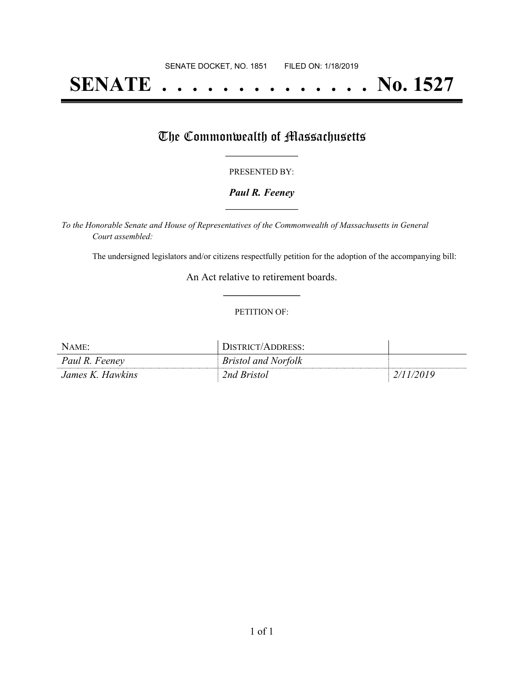# **SENATE . . . . . . . . . . . . . . No. 1527**

## The Commonwealth of Massachusetts

#### PRESENTED BY:

#### *Paul R. Feeney* **\_\_\_\_\_\_\_\_\_\_\_\_\_\_\_\_\_**

*To the Honorable Senate and House of Representatives of the Commonwealth of Massachusetts in General Court assembled:*

The undersigned legislators and/or citizens respectfully petition for the adoption of the accompanying bill:

An Act relative to retirement boards. **\_\_\_\_\_\_\_\_\_\_\_\_\_\_\_**

#### PETITION OF:

| NAME:            | DISTRICT/ADDRESS:          |           |
|------------------|----------------------------|-----------|
| Paul R. Feeney   | <b>Bristol and Norfolk</b> |           |
| James K. Hawkins | 2nd Bristol                | 2/11/2019 |